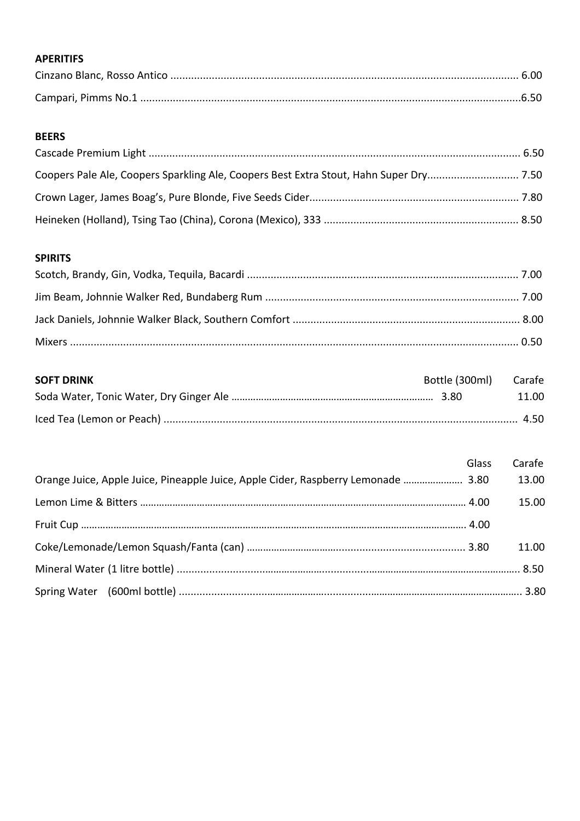## **APERITIFS**

## **BEERS**

### **SPIRITS**

| <b>SOFT DRINK</b> | Bottle (300ml) Carafe |       |
|-------------------|-----------------------|-------|
|                   |                       | 11.00 |
|                   |                       |       |

|                                                                                   | Glass | Carafe |
|-----------------------------------------------------------------------------------|-------|--------|
| Orange Juice, Apple Juice, Pineapple Juice, Apple Cider, Raspberry Lemonade  3.80 |       | 13.00  |
|                                                                                   |       | 15.00  |
|                                                                                   |       |        |
|                                                                                   |       | 11.00  |
|                                                                                   |       |        |
|                                                                                   |       |        |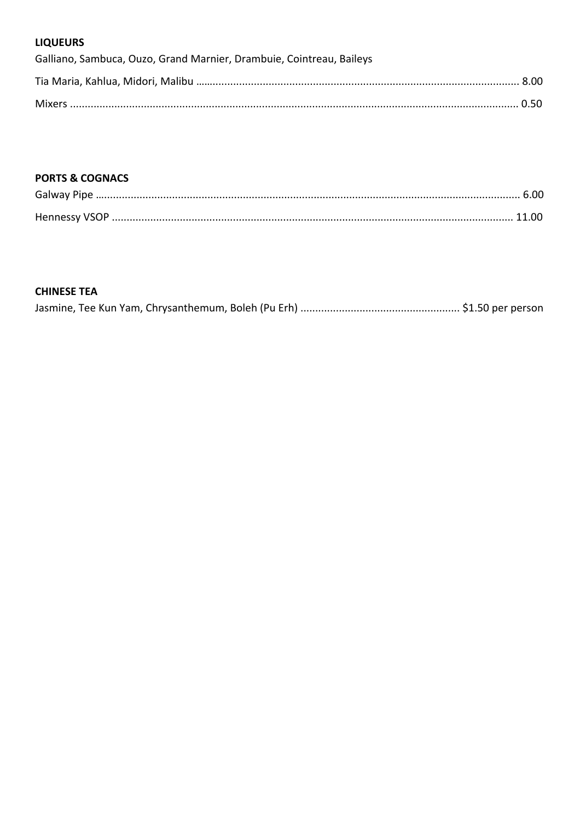## **LIQUEURS**

| Galliano, Sambuca, Ouzo, Grand Marnier, Drambuie, Cointreau, Baileys |  |
|----------------------------------------------------------------------|--|
|                                                                      |  |
|                                                                      |  |

## **PORTS & COGNACS**

### **CHINESE TEA**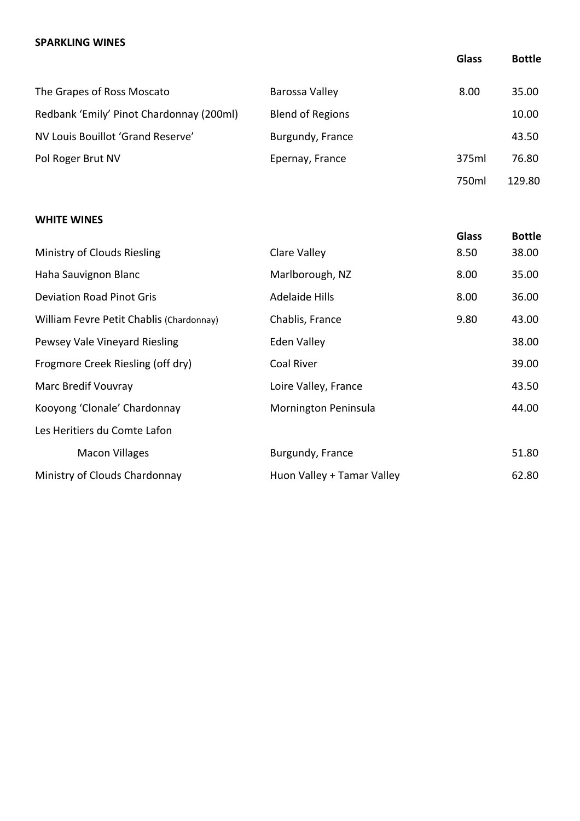### **SPARKLING WINES**

|                                          |                         | <b>Glass</b> | <b>Bottle</b> |
|------------------------------------------|-------------------------|--------------|---------------|
| The Grapes of Ross Moscato               | Barossa Valley          | 8.00         | 35.00         |
| Redbank 'Emily' Pinot Chardonnay (200ml) | <b>Blend of Regions</b> |              | 10.00         |
| NV Louis Bouillot 'Grand Reserve'        | Burgundy, France        |              | 43.50         |
| Pol Roger Brut NV                        | Epernay, France         | 375ml        | 76.80         |
|                                          |                         | 750ml        | 129.80        |

## **WHITE WINES**

|                            | <b>Glass</b> | <b>Bottle</b> |
|----------------------------|--------------|---------------|
| Clare Valley               | 8.50         | 38.00         |
| Marlborough, NZ            | 8.00         | 35.00         |
| Adelaide Hills             | 8.00         | 36.00         |
| Chablis, France            | 9.80         | 43.00         |
| Eden Valley                |              | 38.00         |
| Coal River                 |              | 39.00         |
| Loire Valley, France       |              | 43.50         |
| Mornington Peninsula       |              | 44.00         |
|                            |              |               |
| Burgundy, France           |              | 51.80         |
| Huon Valley + Tamar Valley |              | 62.80         |
|                            |              |               |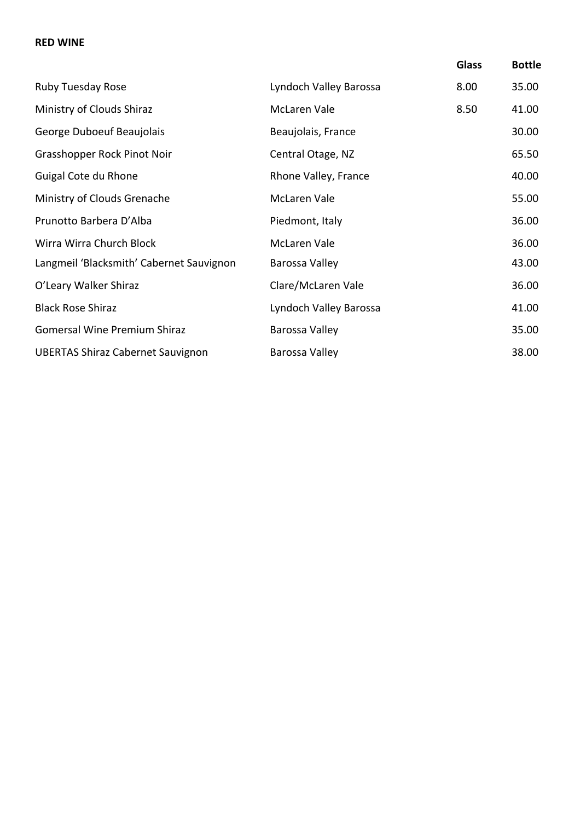### **RED WINE**

|                                          |                        | <b>Glass</b> | <b>Bottle</b> |
|------------------------------------------|------------------------|--------------|---------------|
| Ruby Tuesday Rose                        | Lyndoch Valley Barossa | 8.00         | 35.00         |
| Ministry of Clouds Shiraz                | <b>McLaren Vale</b>    | 8.50         | 41.00         |
| George Duboeuf Beaujolais                | Beaujolais, France     |              | 30.00         |
| Grasshopper Rock Pinot Noir              | Central Otage, NZ      |              | 65.50         |
| Guigal Cote du Rhone                     | Rhone Valley, France   |              | 40.00         |
| Ministry of Clouds Grenache              | <b>McLaren Vale</b>    |              | 55.00         |
| Prunotto Barbera D'Alba                  | Piedmont, Italy        |              | 36.00         |
| Wirra Wirra Church Block                 | <b>McLaren Vale</b>    |              | 36.00         |
| Langmeil 'Blacksmith' Cabernet Sauvignon | Barossa Valley         |              | 43.00         |
| O'Leary Walker Shiraz                    | Clare/McLaren Vale     |              | 36.00         |
| <b>Black Rose Shiraz</b>                 | Lyndoch Valley Barossa |              | 41.00         |
| <b>Gomersal Wine Premium Shiraz</b>      | Barossa Valley         |              | 35.00         |
| <b>UBERTAS Shiraz Cabernet Sauvignon</b> | Barossa Valley         |              | 38.00         |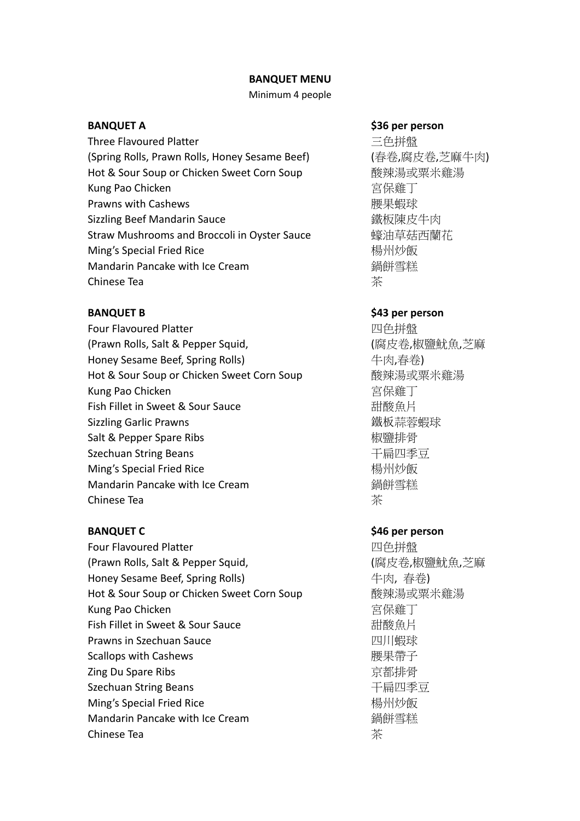### **BANQUET MENU**

### Minimum 4 people

Three Flavoured Platter 2008 2009 2009 2009 2009 三色拼盤 (Spring Rolls, Prawn Rolls, Honey Sesame Beef) (春卷,腐皮卷,芝麻牛肉) Hot & Sour Soup or Chicken Sweet Corn Soup 不对于 酸辣湯或粟米雞湯 Kung Pao Chicken まちょう こうしょう おおし 宮保雞丁 Prawns with Cashews **the contract of the contract of the contract of the contract of the contract of the contract of the contract of the contract of the contract of the contract of the contract of the contract of the cont** Sizzling Beef Mandarin Sauce **the Contract of Bandary and Sizzling Beef Mandarin Sauce** Straw Mushrooms and Broccoli in Oyster Sauce 蠔油草菇西蘭花 Ming's Special Fried Rice **Minimum and Allah Minimum Burgers** 楊州炒飯 Mandarin Pancake with Ice Cream <br><br> **Mandarin Pancake with Ice Cream** Chinese Tea 茶

Four Flavoured Platter 四色拼盤 (Prawn Rolls, Salt & Pepper Squid, which are the control (腐皮卷,椒鹽魷魚,芝麻 Honey Sesame Beef, Spring Rolls) <br>
牛肉,春卷) Hot & Sour Soup or Chicken Sweet Corn Soup 不會<br> 酸辣湯或粟米雞湯 Kung Pao Chicken またままでは、これは「宮保雞丁」 Fish Fillet in Sweet & Sour Sauce <br>コンピュート 社会会員 Sizzling Garlic Prawns カラント おところ あいしゃ あいちょう はんじょう はんしょう はんしょう はんしょう はんしょう はんしょう はんしょう はんしょう はんしゃく しょうしょう しょうしょく Salt & Pepper Spare Ribs **And Accord Business Accord Business** Management Accord B Szechuan String Beans **Frame String Beans TELE** Ming's Special Fried Rice 楊州炒飯 Mandarin Pancake with Ice Cream <br> **Mandarin Pancake with Ice Cream Chinese Tea All and Tea Tea All and Tea All and Tea All and Tea All and Tea All and Tea All and Tea All and Te** 

Four Flavoured Platter **Decay and Allen Controller To Def** *四色*拼盤 (Prawn Rolls, Salt & Pepper Squid, The Content of Communication of Communication (腐皮卷,椒鹽魷魚,芝麻 Honey Sesame Beef, Spring Rolls) <br>
<sub>牛肉,</sub> 春卷) Hot & Sour Soup or Chicken Sweet Corn Soup 不对于 酸辣湯或粟米雞湯 Kung Pao Chicken またまなどのことをしている。 宮保雞丁 Fish Fillet in Sweet & Sour Sauce <br>コンピュート 社会会員 **Prawns in Szechuan Sauce** 2008年 2009年 2019年 2019年 2019年 2019年 2019年 2019年 2019年 2019年 2019年 2019年 2019年 2019年 20 Scallops with Cashews 腰果帶子 Zing Du Spare Ribs **Example 2** and The Control of Text of Text of Text of Text of Text of Text of Text of Text o Szechuan String Beans <br> **F**扁四季豆 **Ming's Special Fried Rice** インファイル およびの あいちゃく あいまく あいぼう あいぼう しょうしゃ はんしゃ あいじょう あいじょう あいじょう あいじょう あいじょう あいじょう あいじょう Mandarin Pancake with Ice Cream <br> **Mandarin Pancake with Ice Cream** Chinese Tea 茶

### **BANQUET A \$36 per person**

### **BANQUET B** \$43 per person

### **BANQUET C** \$46 per person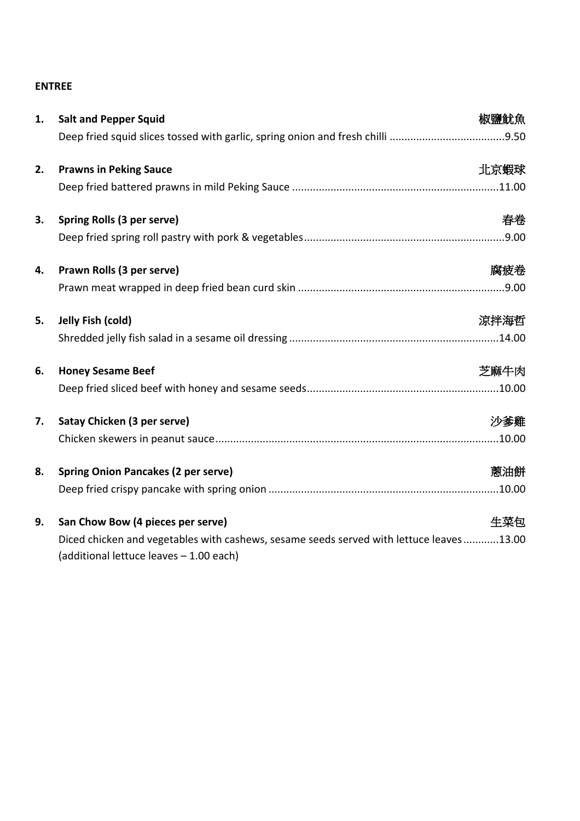## **ENTREE**

| 1. | <b>Salt and Pepper Squid</b>                                                                                                       | 椒鹽魷魚 |
|----|------------------------------------------------------------------------------------------------------------------------------------|------|
|    |                                                                                                                                    |      |
| 2. | <b>Prawns in Peking Sauce</b>                                                                                                      | 北京蝦球 |
|    |                                                                                                                                    |      |
| 3. | Spring Rolls (3 per serve)                                                                                                         | 春卷   |
|    |                                                                                                                                    |      |
| 4. | Prawn Rolls (3 per serve)                                                                                                          | 腐疲卷  |
|    |                                                                                                                                    |      |
| 5. | Jelly Fish (cold)                                                                                                                  | 涼拌海哲 |
|    |                                                                                                                                    |      |
| 6. | <b>Honey Sesame Beef</b>                                                                                                           | 芝麻牛肉 |
|    |                                                                                                                                    |      |
| 7. | Satay Chicken (3 per serve)                                                                                                        | 沙爹雞  |
|    |                                                                                                                                    |      |
| 8. | <b>Spring Onion Pancakes (2 per serve)</b>                                                                                         | 蔥油餅  |
|    |                                                                                                                                    |      |
| 9. | San Chow Bow (4 pieces per serve)                                                                                                  | 生菜包  |
|    | Diced chicken and vegetables with cashews, sesame seeds served with lettuce leaves13.00<br>(additional lettuce leaves - 1.00 each) |      |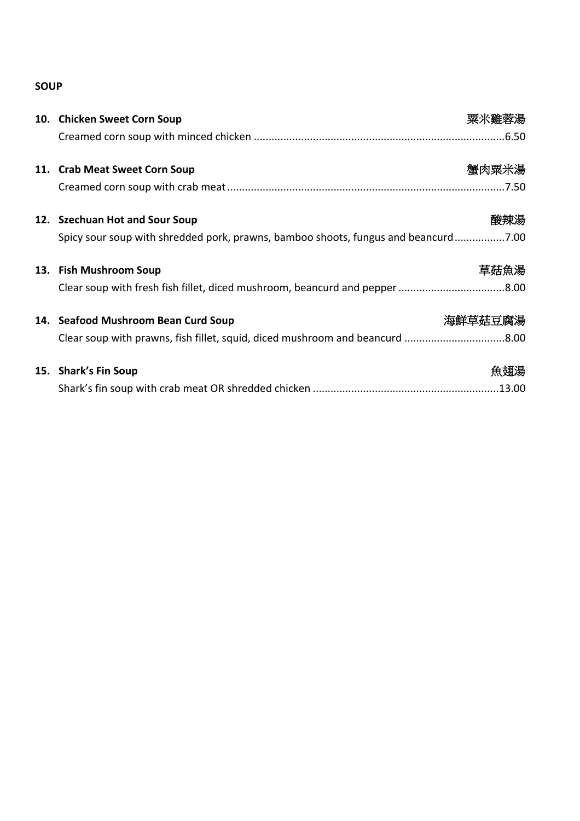# **SOUP**

| 10. Chicken Sweet Corn Soup                                                        | 粟米雞蓉湯   |
|------------------------------------------------------------------------------------|---------|
|                                                                                    |         |
| 11. Crab Meat Sweet Corn Soup                                                      | 蟹肉粟米湯   |
|                                                                                    |         |
| 12. Szechuan Hot and Sour Soup                                                     | 酸辣湯     |
| Spicy sour soup with shredded pork, prawns, bamboo shoots, fungus and beancurd7.00 |         |
| 13. Fish Mushroom Soup                                                             | 草菇魚湯    |
|                                                                                    |         |
| 14. Seafood Mushroom Bean Curd Soup                                                | 海鮮草菇豆腐湯 |
| Clear soup with prawns, fish fillet, squid, diced mushroom and beancurd 8.00       |         |
| 15. Shark's Fin Soup                                                               | 魚翅湯     |
|                                                                                    |         |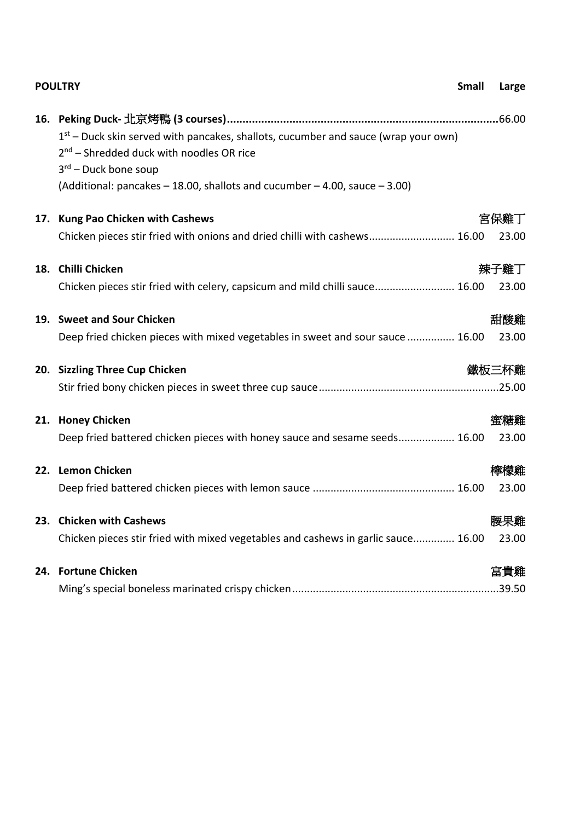|     | <b>POULTRY</b>                                                                                                                                                                                                                                   | Small | Large         |
|-----|--------------------------------------------------------------------------------------------------------------------------------------------------------------------------------------------------------------------------------------------------|-------|---------------|
|     | $1st$ – Duck skin served with pancakes, shallots, cucumber and sauce (wrap your own)<br>$2nd$ – Shredded duck with noodles OR rice<br>$3rd$ – Duck bone soup<br>(Additional: pancakes $-$ 18.00, shallots and cucumber $-$ 4.00, sauce $-$ 3.00) |       |               |
|     | 17. Kung Pao Chicken with Cashews<br>Chicken pieces stir fried with onions and dried chilli with cashews 16.00                                                                                                                                   |       | 宮保雞丁<br>23.00 |
|     | 18. Chilli Chicken<br>Chicken pieces stir fried with celery, capsicum and mild chilli sauce 16.00                                                                                                                                                |       | 辣子雞丁<br>23.00 |
|     | 19. Sweet and Sour Chicken<br>Deep fried chicken pieces with mixed vegetables in sweet and sour sauce  16.00                                                                                                                                     |       | 甜酸雞<br>23.00  |
|     | 20. Sizzling Three Cup Chicken                                                                                                                                                                                                                   |       | 鐵板三杯雞         |
|     | 21. Honey Chicken<br>Deep fried battered chicken pieces with honey sauce and sesame seeds 16.00                                                                                                                                                  |       | 蜜糖雞<br>23.00  |
|     | 22. Lemon Chicken                                                                                                                                                                                                                                |       | 檸檬雞<br>23.00  |
|     | 23. Chicken with Cashews<br>Chicken pieces stir fried with mixed vegetables and cashews in garlic sauce 16.00                                                                                                                                    |       | 腰果雞<br>23.00  |
| 24. | <b>Fortune Chicken</b>                                                                                                                                                                                                                           |       | 富貴雞           |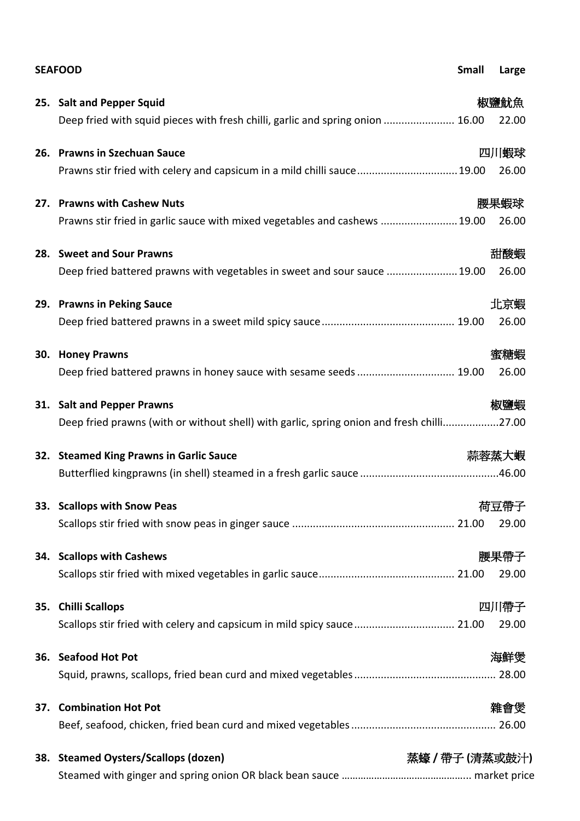|     | <b>SEAFOOD</b>                                                                            | Small        | Large |
|-----|-------------------------------------------------------------------------------------------|--------------|-------|
|     | 25. Salt and Pepper Squid                                                                 |              | 椒鹽魷魚  |
|     | Deep fried with squid pieces with fresh chilli, garlic and spring onion  16.00            |              | 22.00 |
|     | 26. Prawns in Szechuan Sauce                                                              |              | 四川蝦球  |
|     | Prawns stir fried with celery and capsicum in a mild chilli sauce 19.00                   |              | 26.00 |
|     | 27. Prawns with Cashew Nuts                                                               |              | 腰果蝦球  |
|     | Prawns stir fried in garlic sauce with mixed vegetables and cashews  19.00                |              | 26.00 |
|     | 28. Sweet and Sour Prawns                                                                 |              | 甜酸蝦   |
|     | Deep fried battered prawns with vegetables in sweet and sour sauce  19.00                 |              | 26.00 |
|     | 29. Prawns in Peking Sauce                                                                |              | 北京蝦   |
|     |                                                                                           |              | 26.00 |
| 30. | <b>Honey Prawns</b>                                                                       |              | 蜜糖蝦   |
|     |                                                                                           |              | 26.00 |
|     | 31. Salt and Pepper Prawns                                                                |              | 椒鹽蝦   |
|     | Deep fried prawns (with or without shell) with garlic, spring onion and fresh chilli27.00 |              |       |
|     | 32. Steamed King Prawns in Garlic Sauce                                                   |              | 蒜蓉蒸大蝦 |
|     |                                                                                           |              |       |
|     | 33. Scallops with Snow Peas                                                               |              | 荷豆帶子  |
|     |                                                                                           |              | 29.00 |
|     | 34. Scallops with Cashews                                                                 |              | 腰果帶子  |
|     |                                                                                           |              | 29.00 |
| 35. | <b>Chilli Scallops</b>                                                                    |              | 四川帶子  |
|     | Scallops stir fried with celery and capsicum in mild spicy sauce 21.00                    |              | 29.00 |
|     | 36. Seafood Hot Pot                                                                       |              | 海鮮煲   |
|     |                                                                                           |              |       |
|     | 37. Combination Hot Pot                                                                   |              | 雜會煲   |
|     |                                                                                           |              |       |
| 38. | <b>Steamed Oysters/Scallops (dozen)</b>                                                   | 蒸蠔/帶子(清蒸或鼓汁) |       |
|     |                                                                                           |              |       |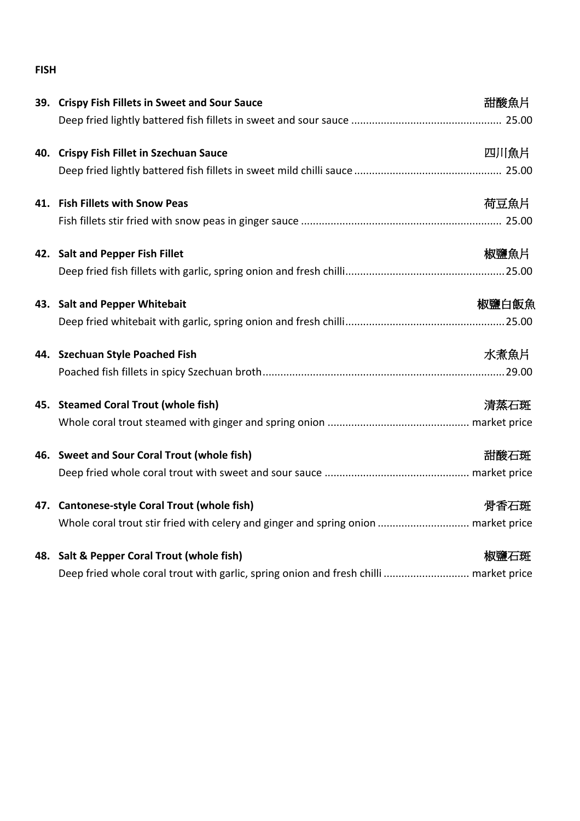## **FISH**

|     | 39. Crispy Fish Fillets in Sweet and Sour Sauce                                       | 甜酸魚片  |
|-----|---------------------------------------------------------------------------------------|-------|
|     |                                                                                       |       |
| 40. | <b>Crispy Fish Fillet in Szechuan Sauce</b>                                           | 四川魚片  |
|     |                                                                                       |       |
|     | 41. Fish Fillets with Snow Peas                                                       | 荷豆魚片  |
|     |                                                                                       |       |
|     | 42. Salt and Pepper Fish Fillet                                                       | 椒鹽魚片  |
|     |                                                                                       |       |
|     | 43. Salt and Pepper Whitebait                                                         | 椒鹽白飯魚 |
|     |                                                                                       |       |
|     | 44. Szechuan Style Poached Fish                                                       | 水煮魚片  |
|     |                                                                                       |       |
|     | 45. Steamed Coral Trout (whole fish)                                                  | 清蒸石斑  |
|     |                                                                                       |       |
|     | 46. Sweet and Sour Coral Trout (whole fish)                                           | 甜酸石斑  |
|     |                                                                                       |       |
|     | 47. Cantonese-style Coral Trout (whole fish)                                          | 骨香石斑  |
|     | Whole coral trout stir fried with celery and ginger and spring onion  market price    |       |
|     | 48. Salt & Pepper Coral Trout (whole fish)                                            | 椒鹽石斑  |
|     | Deep fried whole coral trout with garlic, spring onion and fresh chilli  market price |       |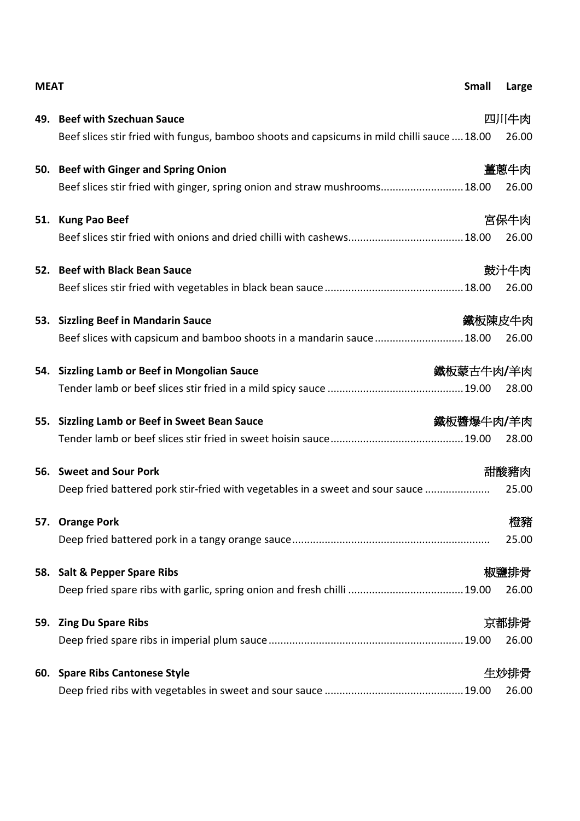| <b>MEAT</b> |                                                                                             | <b>Small</b> | Large  |
|-------------|---------------------------------------------------------------------------------------------|--------------|--------|
|             | 49. Beef with Szechuan Sauce                                                                |              | 四川牛肉   |
|             | Beef slices stir fried with fungus, bamboo shoots and capsicums in mild chilli sauce  18.00 |              | 26.00  |
|             | 50. Beef with Ginger and Spring Onion                                                       |              | 薑蔥牛肉   |
|             | Beef slices stir fried with ginger, spring onion and straw mushrooms18.00                   |              | 26.00  |
|             | 51. Kung Pao Beef                                                                           |              | 宮保牛肉   |
|             |                                                                                             |              | 26.00  |
|             | 52. Beef with Black Bean Sauce                                                              |              | 鼓汁牛肉   |
|             |                                                                                             |              | 26.00  |
|             | 53. Sizzling Beef in Mandarin Sauce                                                         |              | 鐵板陳皮牛肉 |
|             | Beef slices with capsicum and bamboo shoots in a mandarin sauce 18.00                       |              | 26.00  |
| 54.         | <b>Sizzling Lamb or Beef in Mongolian Sauce</b>                                             | 鐵板蒙古牛肉/羊肉    |        |
|             |                                                                                             |              | 28.00  |
| 55.         | <b>Sizzling Lamb or Beef in Sweet Bean Sauce</b>                                            | 鐵板醬爆牛肉/羊肉    |        |
|             |                                                                                             |              | 28.00  |
|             | 56. Sweet and Sour Pork                                                                     |              | 甜酸豬肉   |
|             | Deep fried battered pork stir-fried with vegetables in a sweet and sour sauce               |              | 25.00  |
|             | 57. Orange Pork                                                                             |              | 橙豬     |
|             |                                                                                             |              | 25.00  |
| 58.         | <b>Salt &amp; Pepper Spare Ribs</b>                                                         |              | 椒鹽排骨   |
|             |                                                                                             |              | 26.00  |
| 59.         | <b>Zing Du Spare Ribs</b>                                                                   |              | 京都排骨   |
|             |                                                                                             |              | 26.00  |
| 60.         | <b>Spare Ribs Cantonese Style</b>                                                           |              | 生炒排骨   |
|             |                                                                                             |              | 26.00  |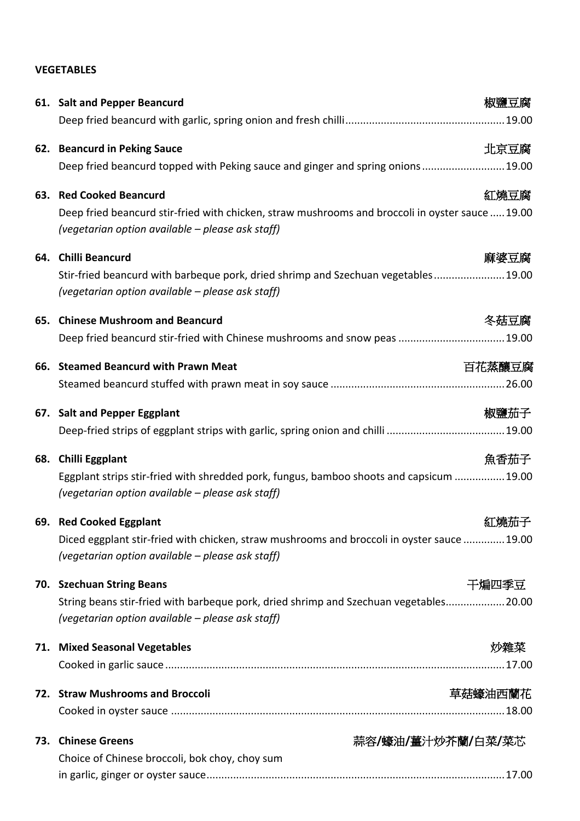## **VEGETABLES**

|     | 61. Salt and Pepper Beancurd                                                                                                                         | 椒鹽豆腐              |
|-----|------------------------------------------------------------------------------------------------------------------------------------------------------|-------------------|
|     |                                                                                                                                                      |                   |
|     | 62. Beancurd in Peking Sauce                                                                                                                         | 北京豆腐              |
|     | Deep fried beancurd topped with Peking sauce and ginger and spring onions 19.00                                                                      |                   |
|     | 63. Red Cooked Beancurd                                                                                                                              | 紅燒豆腐              |
|     | Deep fried beancurd stir-fried with chicken, straw mushrooms and broccoli in oyster sauce  19.00<br>(vegetarian option available - please ask staff) |                   |
| 64. | <b>Chilli Beancurd</b>                                                                                                                               | 麻婆豆腐              |
|     | Stir-fried beancurd with barbeque pork, dried shrimp and Szechuan vegetables 19.00<br>(vegetarian option available – please ask staff)               |                   |
| 65. | <b>Chinese Mushroom and Beancurd</b>                                                                                                                 | 冬菇豆腐              |
|     | Deep fried beancurd stir-fried with Chinese mushrooms and snow peas  19.00                                                                           |                   |
|     | 66. Steamed Beancurd with Prawn Meat                                                                                                                 | 百花蒸釀豆腐            |
|     |                                                                                                                                                      |                   |
|     | 67. Salt and Pepper Eggplant                                                                                                                         | 椒鹽茄子              |
|     |                                                                                                                                                      |                   |
| 68. | <b>Chilli Eggplant</b>                                                                                                                               | 魚香茄子              |
|     | Eggplant strips stir-fried with shredded pork, fungus, bamboo shoots and capsicum  19.00<br>(vegetarian option available - please ask staff)         |                   |
|     | 69. Red Cooked Eggplant                                                                                                                              | 紅燒茄子              |
|     | Diced eggplant stir-fried with chicken, straw mushrooms and broccoli in oyster sauce  19.00<br>(vegetarian option available – please ask staff)      |                   |
| 70. | <b>Szechuan String Beans</b>                                                                                                                         | 干煸四季豆             |
|     | String beans stir-fried with barbeque pork, dried shrimp and Szechuan vegetables 20.00<br>(vegetarian option available – please ask staff)           |                   |
|     | 71. Mixed Seasonal Vegetables                                                                                                                        | 炒雜菜               |
|     |                                                                                                                                                      |                   |
|     | 72. Straw Mushrooms and Broccoli                                                                                                                     | 草菇蠔油西蘭花           |
|     |                                                                                                                                                      |                   |
| 73. | <b>Chinese Greens</b>                                                                                                                                | 蒜容/蠔油/薑汁炒芥蘭/白菜/菜芯 |
|     | Choice of Chinese broccoli, bok choy, choy sum                                                                                                       |                   |
|     |                                                                                                                                                      |                   |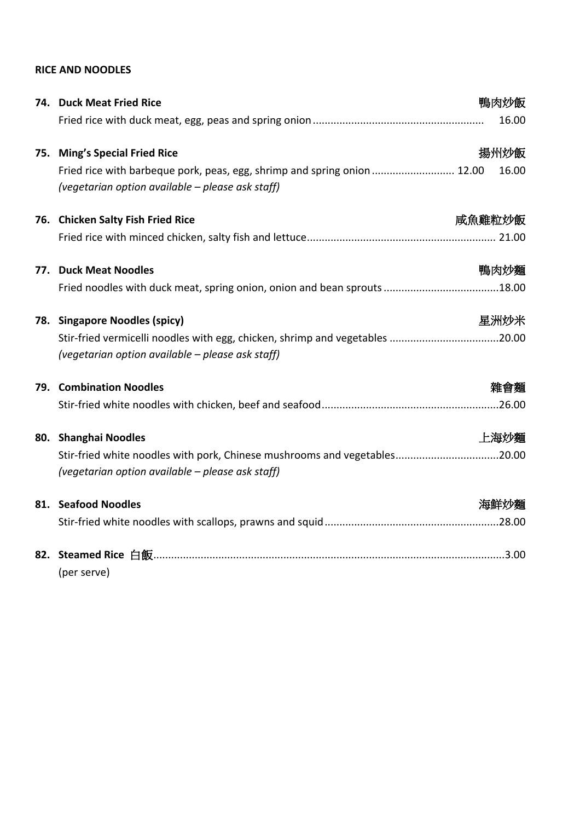## **RICE AND NOODLES**

|     | 74. Duck Meat Fried Rice                                                                                                         | 鴨肉炒飯   |
|-----|----------------------------------------------------------------------------------------------------------------------------------|--------|
|     |                                                                                                                                  | 16.00  |
|     | 75. Ming's Special Fried Rice                                                                                                    | 揚州炒飯   |
|     | Fried rice with barbeque pork, peas, egg, shrimp and spring onion 12.00<br>(vegetarian option available - please ask staff)      | 16.00  |
|     | 76. Chicken Salty Fish Fried Rice                                                                                                | 咸魚雞粒炒飯 |
|     |                                                                                                                                  |        |
| 77. | <b>Duck Meat Noodles</b>                                                                                                         | 鴨肉炒麵   |
|     |                                                                                                                                  |        |
|     | 78. Singapore Noodles (spicy)                                                                                                    | 星洲炒米   |
|     | Stir-fried vermicelli noodles with egg, chicken, shrimp and vegetables 20.00<br>(vegetarian option available - please ask staff) |        |
| 79. | <b>Combination Noodles</b>                                                                                                       | 雜會麵    |
|     |                                                                                                                                  |        |
| 80. | <b>Shanghai Noodles</b>                                                                                                          | 上海炒麵   |
|     | Stir-fried white noodles with pork, Chinese mushrooms and vegetables20.00<br>(vegetarian option available - please ask staff)    |        |
|     | 81. Seafood Noodles                                                                                                              | 海鮮炒麵   |
|     |                                                                                                                                  |        |
| 82. |                                                                                                                                  |        |
|     | (per serve)                                                                                                                      |        |